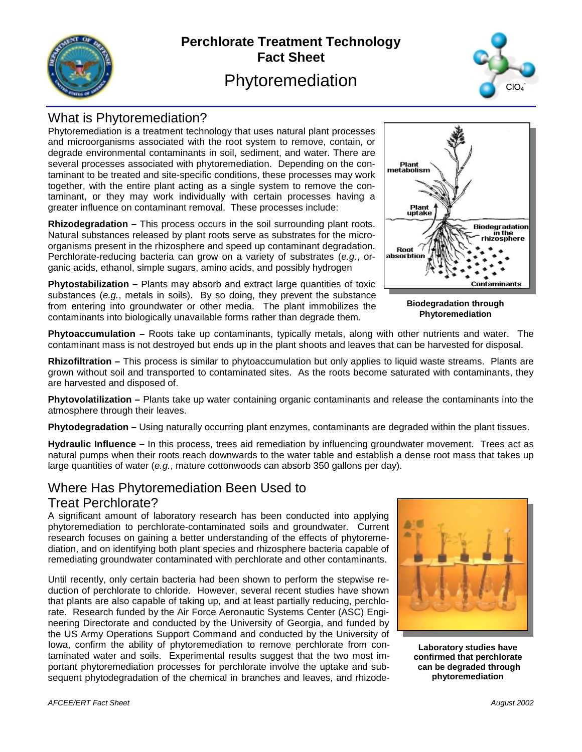

# **Perchlorate Treatment Technology Fact Sheet**  Phytoremediation



## What is Phytoremediation?

Phytoremediation is a treatment technology that uses natural plant processes and microorganisms associated with the root system to remove, contain, or degrade environmental contaminants in soil, sediment, and water. There are several processes associated with phytoremediation. Depending on the contaminant to be treated and site-specific conditions, these processes may work together, with the entire plant acting as a single system to remove the contaminant, or they may work individually with certain processes having a greater influence on contaminant removal. These processes include:

**Rhizodegradation –** This process occurs in the soil surrounding plant roots. Natural substances released by plant roots serve as substrates for the microorganisms present in the rhizosphere and speed up contaminant degradation. Perchlorate-reducing bacteria can grow on a variety of substrates (*e.g.*, organic acids, ethanol, simple sugars, amino acids, and possibly hydrogen

**Phytostabilization –** Plants may absorb and extract large quantities of toxic substances (*e.g.*, metals in soils). By so doing, they prevent the substance from entering into groundwater or other media. The plant immobilizes the contaminants into biologically unavailable forms rather than degrade them.



**Biodegradation through Phytoremediation** 

**Phytoaccumulation –** Roots take up contaminants, typically metals, along with other nutrients and water. The contaminant mass is not destroyed but ends up in the plant shoots and leaves that can be harvested for disposal.

**Rhizofiltration –** This process is similar to phytoaccumulation but only applies to liquid waste streams. Plants are grown without soil and transported to contaminated sites. As the roots become saturated with contaminants, they are harvested and disposed of.

**Phytovolatilization –** Plants take up water containing organic contaminants and release the contaminants into the atmosphere through their leaves.

**Phytodegradation –** Using naturally occurring plant enzymes, contaminants are degraded within the plant tissues.

**Hydraulic Influence –** In this process, trees aid remediation by influencing groundwater movement. Trees act as natural pumps when their roots reach downwards to the water table and establish a dense root mass that takes up large quantities of water (*e.g.*, mature cottonwoods can absorb 350 gallons per day).

## Where Has Phytoremediation Been Used to

#### Treat Perchlorate?

A significant amount of laboratory research has been conducted into applying phytoremediation to perchlorate-contaminated soils and groundwater. Current research focuses on gaining a better understanding of the effects of phytoremediation, and on identifying both plant species and rhizosphere bacteria capable of remediating groundwater contaminated with perchlorate and other contaminants.

Until recently, only certain bacteria had been shown to perform the stepwise reduction of perchlorate to chloride. However, several recent studies have shown that plants are also capable of taking up, and at least partially reducing, perchlorate. Research funded by the Air Force Aeronautic Systems Center (ASC) Engineering Directorate and conducted by the University of Georgia, and funded by the US Army Operations Support Command and conducted by the University of Iowa, confirm the ability of phytoremediation to remove perchlorate from contaminated water and soils. Experimental results suggest that the two most important phytoremediation processes for perchlorate involve the uptake and subsequent phytodegradation of the chemical in branches and leaves, and rhizode-



**Laboratory studies have confirmed that perchlorate can be degraded through phytoremediation**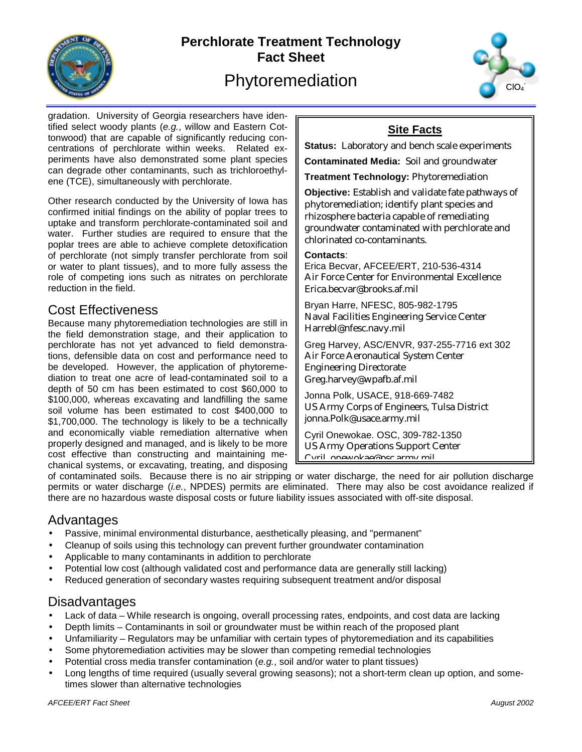

# **Perchlorate Treatment Technology Fact Sheet**  Phytoremediation



gradation. University of Georgia researchers have identified select woody plants (*e.g.*, willow and Eastern Cottonwood) that are capable of significantly reducing concentrations of perchlorate within weeks. Related experiments have also demonstrated some plant species can degrade other contaminants, such as trichloroethylene (TCE), simultaneously with perchlorate.

Other research conducted by the University of Iowa has confirmed initial findings on the ability of poplar trees to uptake and transform perchlorate-contaminated soil and water. Further studies are required to ensure that the poplar trees are able to achieve complete detoxification of perchlorate (not simply transfer perchlorate from soil or water to plant tissues), and to more fully assess the role of competing ions such as nitrates on perchlorate reduction in the field.

#### Cost Effectiveness

Because many phytoremediation technologies are still in the field demonstration stage, and their application to perchlorate has not yet advanced to field demonstrations, defensible data on cost and performance need to be developed. However, the application of phytoremediation to treat one acre of lead-contaminated soil to a depth of 50 cm has been estimated to cost \$60,000 to \$100,000, whereas excavating and landfilling the same soil volume has been estimated to cost \$400,000 to \$1,700,000. The technology is likely to be a technically and economically viable remediation alternative when properly designed and managed, and is likely to be more cost effective than constructing and maintaining mechanical systems, or excavating, treating, and disposing

# **Site Facts**

**Status:** Laboratory and bench scale experiments

**Contaminated Media:** Soil and groundwater

**Treatment Technology:** Phytoremediation

**Objective:** Establish and validate fate pathways of phytoremediation; identify plant species and rhizosphere bacteria capable of remediating groundwater contaminated with perchlorate and chlorinated co-contaminants.

#### **Contacts**:

Erica Becvar, AFCEE/ERT, 210-536-4314 Air Force Center for Environmental Excellence Erica.becvar@brooks.af.mil

Bryan Harre, NFESC, 805-982-1795 Naval Facilities Engineering Service Center Harrebl@nfesc.navy.mil

Greg Harvey, ASC/ENVR, 937-255-7716 ext 302 Air Force Aeronautical System Center Engineering Directorate Greg.harvey@wpafb.af.mil

Jonna Polk, USACE, 918-669-7482 US Army Corps of Engineers, Tulsa District jonna.Polk@usace.army.mil

Cyril Onewokae. OSC, 309-782-1350 US Army Operations Support Center Cyril onewokae@osc army mil

of contaminated soils. Because there is no air stripping or water discharge, the need for air pollution discharge permits or water discharge (*i.e.*, NPDES) permits are eliminated. There may also be cost avoidance realized if there are no hazardous waste disposal costs or future liability issues associated with off-site disposal.

#### Advantages

- Passive, minimal environmental disturbance, aesthetically pleasing, and "permanent"
- Cleanup of soils using this technology can prevent further groundwater contamination
- Applicable to many contaminants in addition to perchlorate
- Potential low cost (although validated cost and performance data are generally still lacking)
- Reduced generation of secondary wastes requiring subsequent treatment and/or disposal

### **Disadvantages**

- Lack of data While research is ongoing, overall processing rates, endpoints, and cost data are lacking
- Depth limits Contaminants in soil or groundwater must be within reach of the proposed plant
- Unfamiliarity Regulators may be unfamiliar with certain types of phytoremediation and its capabilities
- Some phytoremediation activities may be slower than competing remedial technologies
- Potential cross media transfer contamination (*e.g.*, soil and/or water to plant tissues)
- Long lengths of time required (usually several growing seasons); not a short-term clean up option, and sometimes slower than alternative technologies